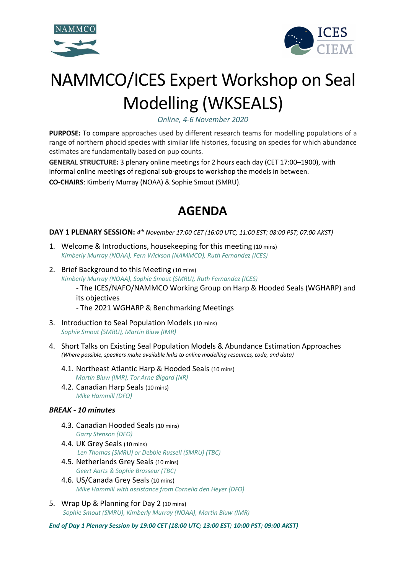



# NAMMCO/ICES Expert Workshop on Seal Modelling (WKSEALS)

*Online, 4-6 November 2020*

**PURPOSE:** To compare approaches used by different research teams for modelling populations of a range of northern phocid species with similar life histories, focusing on species for which abundance estimates are fundamentally based on pup counts.

**GENERAL STRUCTURE:** 3 plenary online meetings for 2 hours each day (CET 17:00–1900), with informal online meetings of regional sub-groups to workshop the models in between. **CO-CHAIRS**: Kimberly Murray (NOAA) & Sophie Smout (SMRU).

# **AGENDA**

**DAY 1 PLENARY SESSION:** *4th November 17:00 CET (16:00 UTC; 11:00 EST; 08:00 PST; 07:00 AKST)*

- 1. Welcome & Introductions, housekeeping for this meeting (10 mins) *Kimberly Murray (NOAA), Fern Wickson (NAMMCO), Ruth Fernandez (ICES)*
- 2. Brief Background to this Meeting (10 mins) *Kimberly Murray (NOAA), Sophie Smout (SMRU), Ruth Fernandez (ICES)*

- The ICES/NAFO/NAMMCO Working Group on Harp & Hooded Seals (WGHARP) and its objectives

- The 2021 WGHARP & Benchmarking Meetings
- 3. Introduction to Seal Population Models (10 mins) *Sophie Smout (SMRU), Martin Biuw (IMR)*
- 4. Short Talks on Existing Seal Population Models & Abundance Estimation Approaches *(Where possible, speakers make available links to online modelling resources, code, and data)*
	- 4.1. Northeast Atlantic Harp & Hooded Seals (10 mins)  *Martin Biuw (IMR), Tor Arne Øigard (NR)*
	- 4.2. Canadian Harp Seals (10 mins) *Mike Hammill (DFO)*

## *BREAK - 10 minutes*

- 4.3. Canadian Hooded Seals (10 mins) *Garry Stenson (DFO)*
- 4.4. UK Grey Seals (10 mins)  *Len Thomas (SMRU) or Debbie Russell (SMRU) (TBC)*
- 4.5. Netherlands Grey Seals (10 mins) *Geert Aarts & Sophie Brasseur (TBC)*
- 4.6. US/Canada Grey Seals (10 mins) *Mike Hammill with assistance from Cornelia den Heyer (DFO)*
- 5. Wrap Up & Planning for Day 2 (10 mins) *Sophie Smout (SMRU), Kimberly Murray (NOAA), Martin Biuw (IMR)*

*End of Day 1 Plenary Session by 19:00 CET (18:00 UTC; 13:00 EST; 10:00 PST; 09:00 AKST)*